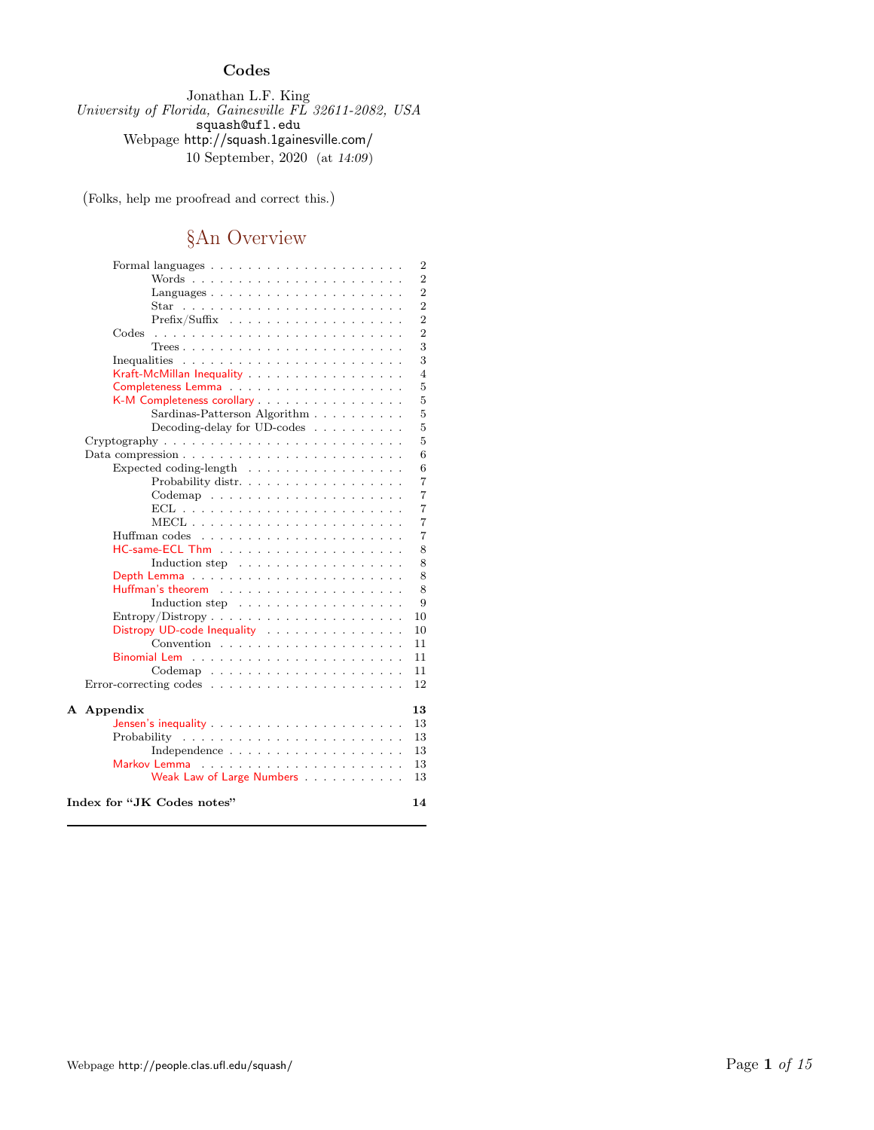### Codes

Jonathan L.F. King University of Florida, Gainesville FL 32611-2082, USA squash@ufl.edu Webpage http://squash.1gainesville.com/ 10 September, 2020 (at 14:09)

(Folks, help me proofread and correct this.)

# §An Overview

|                                                                         | 2              |
|-------------------------------------------------------------------------|----------------|
|                                                                         | $\overline{2}$ |
| Languages<br>de la caractería de la caractería de                       | $\overline{2}$ |
|                                                                         | $\overline{2}$ |
| Prefix/Suffix                                                           | $\overline{2}$ |
| Codes<br>the second company of the second company of                    | $\overline{2}$ |
|                                                                         | 3              |
|                                                                         | 3              |
| Kraft-McMillan Inequality                                               | 4              |
|                                                                         | 5              |
| K-M Completeness corollary                                              | 5              |
| Sardinas-Patterson Algorithm                                            | 5              |
| Decoding-delay for UD-codes $\ldots \ldots \ldots$                      | 5              |
|                                                                         | 5              |
|                                                                         | 6              |
| Expected coding-length                                                  | 6              |
| Probability distr                                                       | 7              |
| $\text{Codemap}$                                                        | $\overline{7}$ |
|                                                                         | $\overline{7}$ |
|                                                                         | 7              |
|                                                                         | 7              |
|                                                                         | 8              |
| Induction step $\ldots \ldots \ldots \ldots \ldots \ldots$              | 8              |
|                                                                         | 8              |
|                                                                         | 8              |
| Induction step                                                          | 9              |
| $Entropy/Distory \dots \dots \dots \dots \dots \dots \dots \dots \dots$ | 10             |
| Distropy UD-code Inequality                                             | 10             |
|                                                                         | 11             |
|                                                                         | 11             |
|                                                                         | 11             |
|                                                                         | 12             |
|                                                                         |                |
| A Appendix                                                              | 13             |
|                                                                         | 13             |
|                                                                         | 13             |
|                                                                         | 13             |
| Markov Lemma<br>a dia ana ana ana ana ana ana ana ana                   | 13             |
| Weak Law of Large Numbers                                               | 13             |
| Index for "JK Codes notes"                                              | 14             |
|                                                                         |                |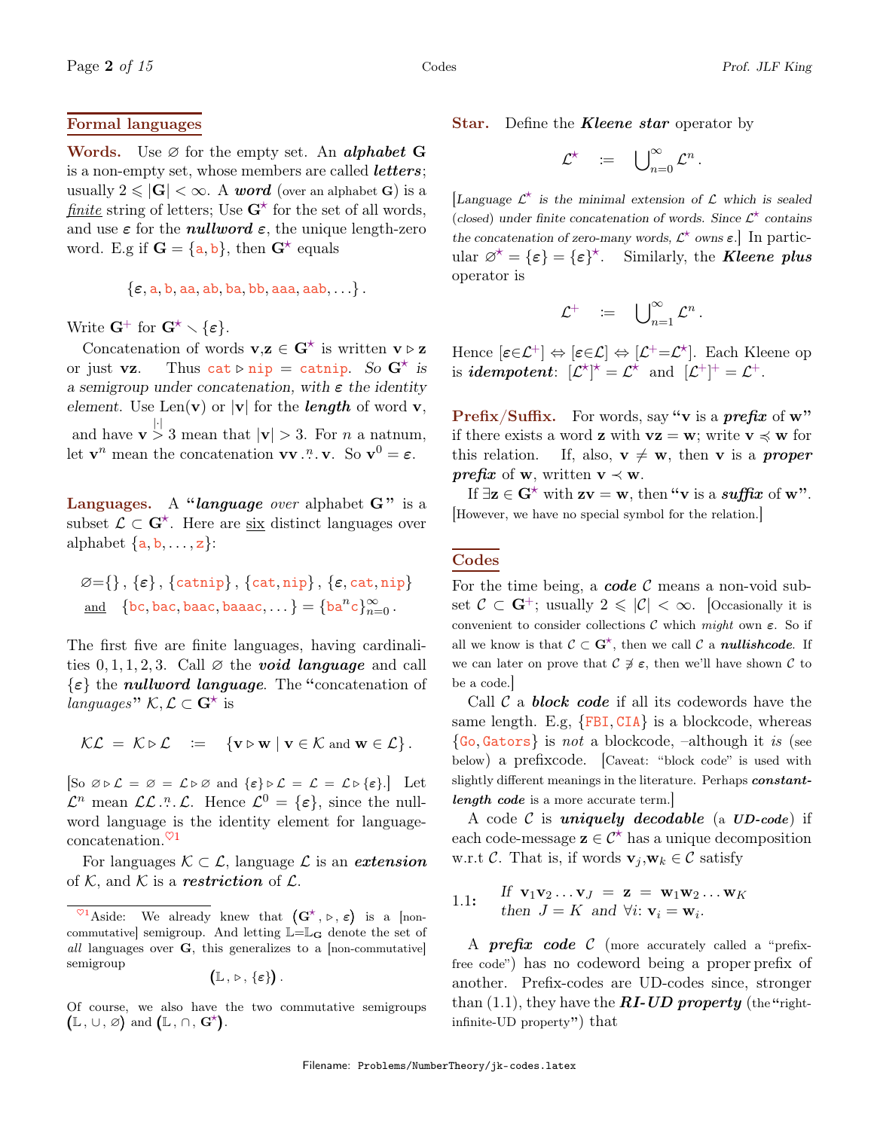#### Formal languages

**Words.** Use  $\varnothing$  for the empty set. An *alphabet* **G** is a non-empty set, whose members are called *letters*; usually  $2 \leq |\mathbf{G}| < \infty$ . A word (over an alphabet G) is a finite string of letters; Use  $G^*$  for the set of all words, and use  $\varepsilon$  for the *nullword*  $\varepsilon$ , the unique length-zero word. E.g if  $G = \{a, b\}$ , then  $G^*$  equals

$$
\{\varepsilon, \texttt{a}, \texttt{b}, \texttt{aa}, \texttt{ab}, \texttt{ba}, \texttt{bb}, \texttt{aaa}, \texttt{aab}, \ldots\}.
$$

Write  $G^+$  for  $G^* \setminus \{\varepsilon\}.$ 

Concatenation of words  $\mathbf{v},\mathbf{z} \in \mathbf{G}^{\star}$  is written  $\mathbf{v} \triangleright \mathbf{z}$ or just vz. Thus cat  $\triangleright$  nip = catnip. So  $G^*$  is a semigroup under concatenation, with  $\varepsilon$  the identity element. Use Len(v) or  $|v|$  for the *length* of word v, and have  $\mathbf{v} > 3$  mean that  $|\mathbf{v}| > 3$ . For *n* a natnum, let  $\mathbf{v}^n$  mean the concatenation  $\mathbf{v}\mathbf{v}$ .".  $\mathbf{v}$ . So  $\mathbf{v}^0 = \boldsymbol{\varepsilon}$ .

**Languages.** A "language over alphabet  $G$ " is a subset  $\mathcal{L} \subset \mathbf{G}^*$ . Here are six distinct languages over alphabet  $\{a, b, \ldots, z\}$ :

$$
\varnothing = \{\}, \{\varepsilon\}, \{\texttt{catnip}\}, \{\texttt{cat,nip}\}, \{\varepsilon, \texttt{cat,nip}\}\
$$
  
and {bc, bac, baac, baaac,...} = {ba<sup>n</sup>c}<sub>n=0</sub><sup>\infty</sup>.

The first five are finite languages, having cardinalities  $0, 1, 1, 2, 3$ . Call  $\varnothing$  the **void language** and call  $\{\varepsilon\}$  the *nullword language*. The "concatenation of languages"  $\mathcal{K}, \mathcal{L} \subset \mathbf{G}^{\star}$  is

$$
\mathcal{KL} = \mathcal{K} \triangleright \mathcal{L} \quad := \quad \{ \mathbf{v} \triangleright \mathbf{w} \mid \mathbf{v} \in \mathcal{K} \text{ and } \mathbf{w} \in \mathcal{L} \}.
$$

 $\begin{array}{ll} [\text{So } \varnothing \triangleright \mathcal{L} = \varnothing = \mathcal{L} \triangleright \varnothing \text{ and } \{\varepsilon\} \triangleright \mathcal{L} = \mathcal{L} = \mathcal{L} \triangleright \{\varepsilon\}]. \end{array}$  Let  $\mathcal{L}^n$  mean  $\mathcal{LL}$  ....  $\mathcal{L}$ . Hence  $\mathcal{L}^0 = {\varepsilon},$  since the nullword language is the identity element for languageconcatenation. $\sqrt[6]{1}$ 

For languages  $\mathcal{K} \subset \mathcal{L}$ , language  $\mathcal{L}$  is an *extension* of K, and K is a **restriction** of  $\mathcal{L}$ .

 $\mathbb{L}\, , \triangleright, \, \{\varepsilon\}$ ).

Of course, we also have the two commutative semigroups  $(L, \cup, \varnothing)$  and  $(L, \cap, G^{\star}).$ 

**Star.** Define the **Kleene star** operator by

$$
\mathcal{L}^\star \quad := \quad \bigcup\nolimits_{n=0}^\infty \mathcal{L}^n
$$

.

[Language  $\mathcal{L}^*$  is the minimal extension of  $\mathcal L$  which is sealed (closed) under finite concatenation of words. Since  $\mathcal{L}^*$  contains the concatenation of zero-many words,  $\mathcal{L}^*$  owns  $\varepsilon$ . In particular  $\varnothing^* = {\varepsilon} = {\varepsilon}^*$ . Similarly, the **Kleene plus** operator is

$$
\mathcal{L}^+ \quad := \quad \bigcup\nolimits_{n=1}^\infty \mathcal{L}^n \, .
$$

Hence  $[\epsilon \in \mathcal{L}^+] \Leftrightarrow [\epsilon \in \mathcal{L}] \Leftrightarrow [\mathcal{L}^+ = \mathcal{L}^*]$ . Each Kleene op is *idempotent*:  $[\mathcal{L}^{\star}]^{\star} = \mathcal{L}^{\star}$  and  $[\mathcal{L}^+]^+ = \mathcal{L}^+$ .

**Prefix/Suffix.** For words, say "**v** is a *prefix* of **w**" if there exists a word **z** with  $vz = w$ ; write  $v \preccurlyeq w$  for this relation. If, also,  $v \neq w$ , then v is a *proper prefix* of **w**, written **v**  $\prec$  **w**.

If  $\exists z \in G^*$  with  $zv = w$ , then "v is a suffix of w". [However, we have no special symbol for the relation.]

#### Codes

For the time being, a **code**  $\mathcal{C}$  means a non-void subset  $\mathcal{C} \subset \mathbf{G}^+$ ; usually  $2 \leq |\mathcal{C}| < \infty$ . [Occasionally it is convenient to consider collections C which might own  $\varepsilon$ . So if all we know is that  $C \subset \mathbf{G}^{\star}$ , then we call C a **nullishcode**. If we can later on prove that  $\mathcal{C} \not\supset \epsilon$ , then we'll have shown  $\mathcal{C}$  to be a code.]

Call  $\mathcal C$  a **block code** if all its codewords have the same length. E.g,  ${FBI, CIA}$  is a blockcode, whereas  $\{Go, Gators\}$  is not a blockcode, –although it is (see below) a prefixcode. [Caveat: "block code" is used with slightly different meanings in the literature. Perhaps constantlength code is a more accurate term.

A code  $\mathcal C$  is uniquely decodable (a UD-code) if each code-message  $z \in \mathcal{C}^*$  has a unique decomposition w.r.t C. That is, if words  $\mathbf{v}_i, \mathbf{w}_k \in \mathcal{C}$  satisfy

1.1: If 
$$
\mathbf{v}_1 \mathbf{v}_2 \dots \mathbf{v}_J = \mathbf{z} = \mathbf{w}_1 \mathbf{w}_2 \dots \mathbf{w}_K
$$
  
then  $J = K$  and  $\forall i: \mathbf{v}_i = \mathbf{w}_i$ .

A **prefix code** C (more accurately called a "prefixfree code") has no codeword being a proper prefix of another. Prefix-codes are UD-codes since, stronger than  $(1.1)$ , they have the **RI-UD** property (the "rightinfinite-UD property") that

<sup>&</sup>lt;sup> $\heartsuit$ 1</sup>Aside: We already knew that  $(G^{\star}, \triangleright, \varepsilon)$  is a [noncommutative] semigroup. And letting  $\mathbb{L}=\mathbb{L}_{\bf G}$  denote the set of all languages over G, this generalizes to a [non-commutative] semigroup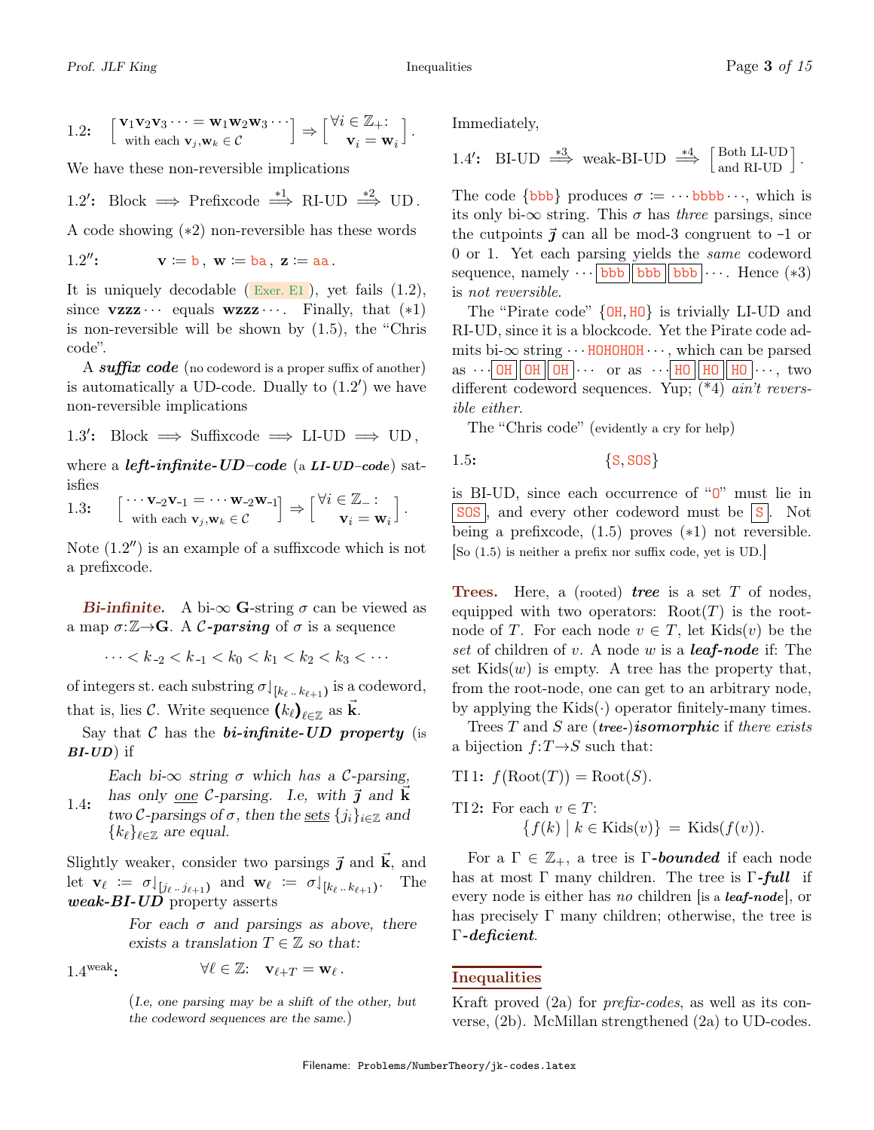1.2: 
$$
\begin{bmatrix} \mathbf{v}_1 \mathbf{v}_2 \mathbf{v}_3 \cdots = \mathbf{w}_1 \mathbf{w}_2 \mathbf{w}_3 \cdots \\ \text{with each } \mathbf{v}_j, \mathbf{w}_k \in \mathcal{C} \end{bmatrix} \Rightarrow \begin{bmatrix} \forall i \in \mathbb{Z}_+ \\ \mathbf{v}_i = \mathbf{w}_i \end{bmatrix}.
$$

We have these non-reversible implications

1.2': Block 
$$
\implies
$$
 Prefixcode  $\stackrel{*1}{\Longrightarrow}$  RI-UD  $\stackrel{*2}{\Longrightarrow}$  UD.

A code showing (∗2) non-reversible has these words

1.2": 
$$
\mathbf{v} \coloneqq \mathbf{b}
$$
,  $\mathbf{w} \coloneqq \mathbf{ba}$ ,  $\mathbf{z} \coloneqq \mathbf{aa}$ .

It is uniquely decodable ( $\mathbb{E}$ xer. E1), yet fails  $(1.2)$ , since **vzzz**  $\cdots$  equals **wzzz**  $\cdots$ . Finally, that  $(*1)$ is non-reversible will be shown by (1.5), the "Chris code".

A suffix code (no codeword is a proper suffix of another) is automatically a UD-code. Dually to  $(1.2')$  we have non-reversible implications

1.3': Block 
$$
\implies
$$
 Suffixcode  $\implies$  LI-UD  $\implies$  UD,

where a *left-infinite-UD-code* (a  $LI\text{-}UD\text{-}code$ ) satisfies

 $\int \cdots \mathbf{v}_{-2}\mathbf{v}_{-1} = \cdots \mathbf{w}_{-2}\mathbf{w}_{-1}$ with each  $\mathbf{v}_j, \mathbf{w}_k \in \mathcal{C}$  $\Big] \Rightarrow \Big[ \frac{\forall i \in \mathbb{Z}_{-} :}{\sim} \Big]$  $\mathbf{v}_i = \mathbf{w}_i$ 1.3:  $\begin{bmatrix} \cdots \mathbf{v}_{-2} \mathbf{v}_{-1} = \cdots \mathbf{w}_{-2} \mathbf{w}_{-1} \\ \vdots \end{bmatrix} \Rightarrow \begin{bmatrix} \forall i \in \mathbb{Z} - 1 \\ \vdots \end{bmatrix}$ .

Note  $(1.2'')$  is an example of a suffixcode which is not a prefixcode.

**Bi-infinite.** A bi- $\infty$  G-string  $\sigma$  can be viewed as a map  $\sigma: \mathbb{Z} \rightarrow \mathbb{G}$ . A C-parsing of  $\sigma$  is a sequence

$$
\cdots < k_{-2} < k_{-1} < k_0 < k_1 < k_2 < k_3 < \cdots
$$

of integers st. each substring  $\sigma|_{[k_\ell \dots k_{\ell+1})}$  is a codeword, that is, lies C. Write sequence  $(k_{\ell})_{\ell \in \mathbb{Z}}$  as  $\vec{k}$ .

Say that  $\mathcal C$  has the *bi-infinite-UD property* (is  $BI$ - $UD$ ) if

> Each bi- $\infty$  string  $\sigma$  which has a C-parsing, has only <u>one</u> C-parsing. I.e, with  $\vec{j}$  and  $\vec{k}$

two C-parsings of  $\sigma$ , then the sets  $\{j_i\}_{i\in\mathbb{Z}}$  and  ${k_\ell}_{\ell \in \mathbb{Z}}$  are equal. 1.4:

Slightly weaker, consider two parsings  $\vec{j}$  and  $\vec{k}$ , and let  $\mathbf{v}_{\ell} := \sigma \downharpoonleft_{[j_{\ell} \ldots j_{\ell+1})}$  and  $\mathbf{w}_{\ell} := \sigma \downharpoonright_{[k_{\ell} \ldots k_{\ell+1})}$ . The weak-BI-UD property asserts

> For each  $\sigma$  and parsings as above, there exists a translation  $T \in \mathbb{Z}$  so that:

1.4 weak:

$$
\forall \ell \in \mathbb{Z} : \quad \mathbf{v}_{\ell+T} = \mathbf{w}_{\ell} \, .
$$

(I.e, one parsing may be a shift of the other, but the codeword sequences are the same.)

Immediately,

1.4': BI-UD 
$$
\stackrel{*3}{\Longrightarrow}
$$
 weak-BI-UD  $\stackrel{*4}{\Longrightarrow}$   $\left[\begin{array}{c}\n\text{Both LI-UD} \\
\text{and RI-UD}\n\end{array}\right]$ .

The code  $\{bbbbb}$  produces  $\sigma = \cdots$  bbbb  $\cdots$ , which is its only bi- $\infty$  string. This  $\sigma$  has three parsings, since the cutpoints  $\vec{\jmath}$  can all be mod-3 congruent to -1 or 0 or 1. Yet each parsing yields the same codeword sequence, namely  $\cdots$  bbb bbb bbb  $\cdots$ . Hence (\*3) is not reversible.

The "Pirate code" {OH, HO} is trivially LI-UD and RI-UD, since it is a blockcode. Yet the Pirate code admits bi- $\infty$  string  $\cdots$  HOHOHOH which can be parsed  $\text{as } \cdots$  OH OH OH  $\cdots$  or as  $\cdots$  HO HO  $\cdots$ , two different codeword sequences. Yup; (\*4) ain't reversible either.

The "Chris code" (evidently a cry for help)

$$
1.5: \t\t \{S, SOS\}
$$

is BI-UD, since each occurrence of " $0$ " must lie in  $\vert$  SOS , and every other codeword must be  $\vert$  S . Not being a prefixcode, (1.5) proves (∗1) not reversible. [So (1.5) is neither a prefix nor suffix code, yet is UD.]

**Trees.** Here, a (rooted) **tree** is a set  $T$  of nodes, equipped with two operators:  $Root(T)$  is the rootnode of T. For each node  $v \in T$ , let Kids $(v)$  be the set of children of v. A node w is a **leaf-node** if: The set  $\text{Kids}(w)$  is empty. A tree has the property that, from the root-node, one can get to an arbitrary node, by applying the  $Kids(\cdot)$  operator finitely-many times.

Trees  $T$  and  $S$  are (tree-)isomorphic if there exists a bijection  $f: T \rightarrow S$  such that:

TI1: 
$$
f(\text{Root}(T)) = \text{Root}(S)
$$
.

TI 2: For each 
$$
v \in T
$$
:  
\n
$$
\{f(k) \mid k \in \text{Kids}(v)\} = \text{Kids}(f(v)).
$$

For a  $\Gamma \in \mathbb{Z}_+$ , a tree is  $\Gamma$ -bounded if each node has at most  $\Gamma$  many children. The tree is  $\Gamma$ -full if every node is either has no children [is a leaf-node], or has precisely  $\Gamma$  many children; otherwise, the tree is Γ-deficient.

#### Inequalities

Kraft proved (2a) for prefix-codes, as well as its converse, (2b). McMillan strengthened (2a) to UD-codes.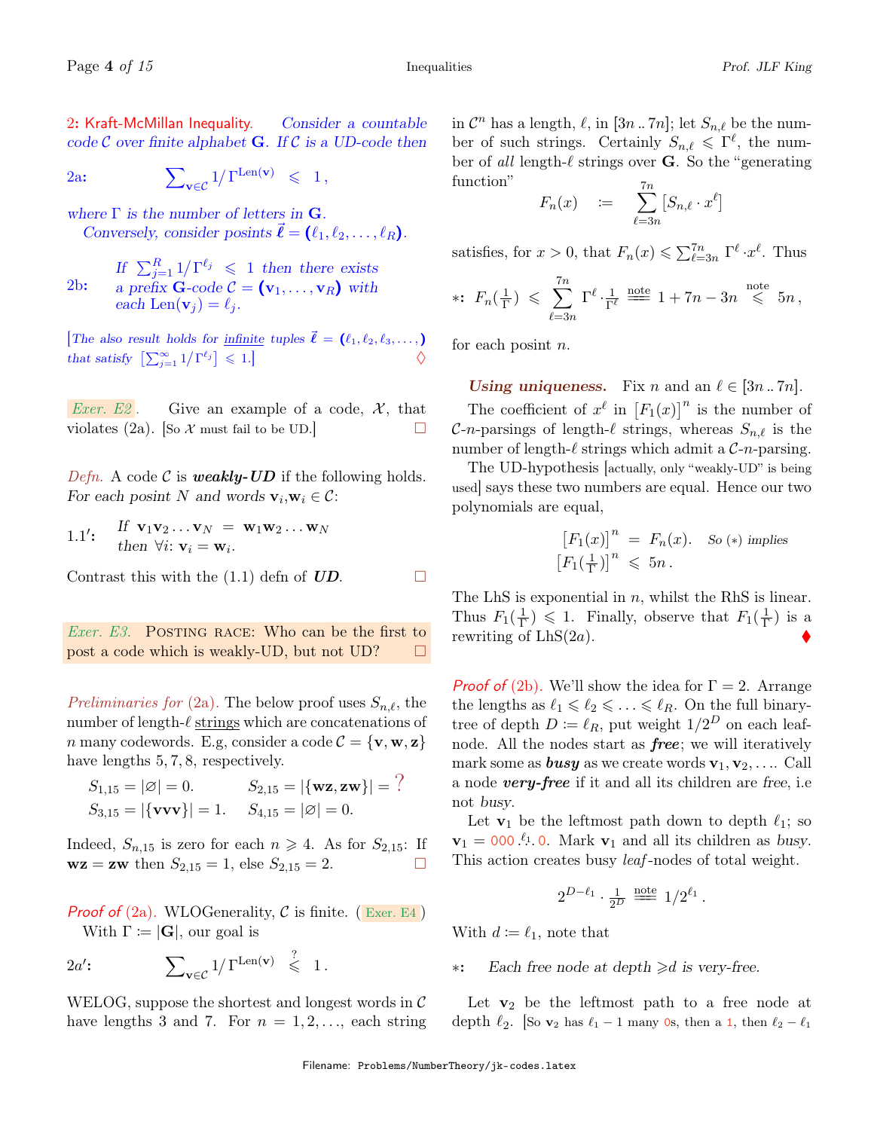2: Kraft-McMillan Inequality. Consider a countable code  $\mathcal C$  over finite alphabet **G**. If  $\mathcal C$  is a UD-code then

 $2a: \qquad \qquad \sum_{{\bf v}\in \mathcal{C}} 1/\Gamma^{\mathrm{Len}({\bf v})} \ \leqslant \ \ 1\,,$ 

where  $\Gamma$  is the number of letters in  $G$ . Conversely, consider posints  $\ell = (\ell_1, \ell_2, \ldots, \ell_R).$ 

If  $\sum_{j=1}^R 1/\Gamma^{\ell_j} \leq 1$  then there exists a prefix **G**-code  $C = (\mathbf{v}_1, \dots, \mathbf{v}_R)$  with each Len $(\mathbf{v}_i) = \ell_i$ . 2b:

The also result holds for infinite tuples  $\vec{\ell} = (\ell_1, \ell_2, \ell_3, \ldots, )$ that satisfy  $\left[\sum_{j=1}^{\infty}1/\Gamma^{\ell_j}\right]$  $\leqslant 1.$ 

*Exer. E2*. Give an example of a code,  $\mathcal{X}$ , that violates (2a). [So  $\mathcal X$  must fail to be UD.]

Defn. A code C is **weakly-UD** if the following holds. For each posint N and words  $\mathbf{v}_i, \mathbf{w}_i \in \mathcal{C}$ :

1.1':  

$$
\text{If } \mathbf{v}_1 \mathbf{v}_2 \dots \mathbf{v}_N = \mathbf{w}_1 \mathbf{w}_2 \dots \mathbf{w}_N
$$
  
then  $\forall i: \mathbf{v}_i = \mathbf{w}_i$ .

Contrast this with the (1.1) defn of  $\overline{UD}$ .

*Exer.* E<sub>3</sub>. POSTING RACE: Who can be the first to post a code which is weakly-UD, but not UD?  $\Box$ 

Preliminaries for (2a). The below proof uses  $S_{n,\ell}$ , the number of length- $\ell$  strings which are concatenations of *n* many codewords. E.g, consider a code  $\mathcal{C} = {\mathbf{v}, \mathbf{w}, \mathbf{z}}$ have lengths 5, 7, 8, respectively.

$$
S_{1,15} = |\varnothing| = 0.
$$
  $S_{2,15} = |\{\mathbf{w}\mathbf{z}, \mathbf{z}\mathbf{w}\}| = ?$   
\n $S_{3,15} = |\{\mathbf{v}\mathbf{v}\mathbf{v}\}| = 1.$   $S_{4,15} = |\varnothing| = 0.$ 

Indeed,  $S_{n,15}$  is zero for each  $n \geq 4$ . As for  $S_{2,15}$ : If  $wz = zw$  then  $S_{2,15} = 1$ , else  $S_{2,15} = 2$ .

**Proof of**  $(2a)$ . WLOGenerality, C is finite. (Exer. E4) With  $\Gamma := |G|$ , our goal is

 $2a'$ :  $\sum_{\mathbf{v}\in\mathcal{C}}1/\Gamma^{\mathrm{Len}(\mathbf{v})} \ \leqslant \ 1$ .  $\prime$ :

WELOG, suppose the shortest and longest words in  $\mathcal C$ have lengths 3 and 7. For  $n = 1, 2, \ldots$ , each string

in  $\mathcal{C}^n$  has a length,  $\ell$ , in [3n .. 7n]; let  $S_{n,\ell}$  be the number of such strings. Certainly  $S_{n,\ell} \leqslant \Gamma^{\ell}$ , the number of all length- $\ell$  strings over **G**. So the "generating" function" 7n

$$
F_n(x) \quad := \quad \sum_{\ell=3n}^n [S_{n,\ell} \cdot x^{\ell}]
$$

satisfies, for  $x > 0$ , that  $F_n(x) \leq \sum_{\ell=3n}^{7n} \Gamma^{\ell} \cdot x^{\ell}$ . Thus

$$
*\colon F_n(\tfrac{1}{\Gamma}) \leqslant \sum_{\ell=3n}^{7n} \Gamma^{\ell} \cdot \tfrac{1}{\Gamma^{\ell}} \stackrel{\text{note}}{=} 1 + 7n - 3n \stackrel{\text{note}}{\leqslant} 5n,
$$

for each posint  $n$ .

Using uniqueness. Fix n and an  $\ell \in [3n \ldots 7n]$ . The coefficient of  $x^{\ell}$  in  $[F_1(x)]^n$  is the number of C-n-parsings of length- $\ell$  strings, whereas  $S_{n,\ell}$  is the number of length- $\ell$  strings which admit a C-n-parsing.

The UD-hypothesis [actually, only "weakly-UD" is being used] says these two numbers are equal. Hence our two polynomials are equal,

$$
[F_1(x)]^n = F_n(x). \text{ So (*) implies}
$$

$$
[F_1(\frac{1}{\Gamma})]^n \leq 5n.
$$

The LhS is exponential in  $n$ , whilst the RhS is linear. Thus  $F_1(\frac{1}{\Gamma})$  $(\frac{1}{\Gamma}) \leq 1$ . Finally, observe that  $F_1(\frac{1}{\Gamma})$  $(\frac{1}{\Gamma})$  is a rewriting of  $LhS(2a)$ .

**Proof of** (2b). We'll show the idea for  $\Gamma = 2$ . Arrange the lengths as  $\ell_1 \leq \ell_2 \leq \ldots \leq \ell_R$ . On the full binarytree of depth  $D \coloneqq \ell_R$ , put weight  $1/2^D$  on each leafnode. All the nodes start as free; we will iteratively mark some as **busy** as we create words  $v_1, v_2, \ldots$  Call a node very-free if it and all its children are free, i.e not busy.

Let  $\mathbf{v}_1$  be the leftmost path down to depth  $\ell_1$ ; so  $\mathbf{v}_1 = 000 \cdot \ell_1$ . 0. Mark  $\mathbf{v}_1$  and all its children as busy. This action creates busy *leaf*-nodes of total weight.

$$
2^{D-\ell_1} \cdot \frac{1}{2^D} \stackrel{\text{note}}{=} 1/2^{\ell_1}.
$$

With  $d := \ell_1$ , note that

∗: Each free node at depth >d is very-free.

Let  $v_2$  be the leftmost path to a free node at depth  $\ell_2$ . [So **v**<sub>2</sub> has  $\ell_1$  − 1 many 0s, then a 1, then  $\ell_2$  −  $\ell_1$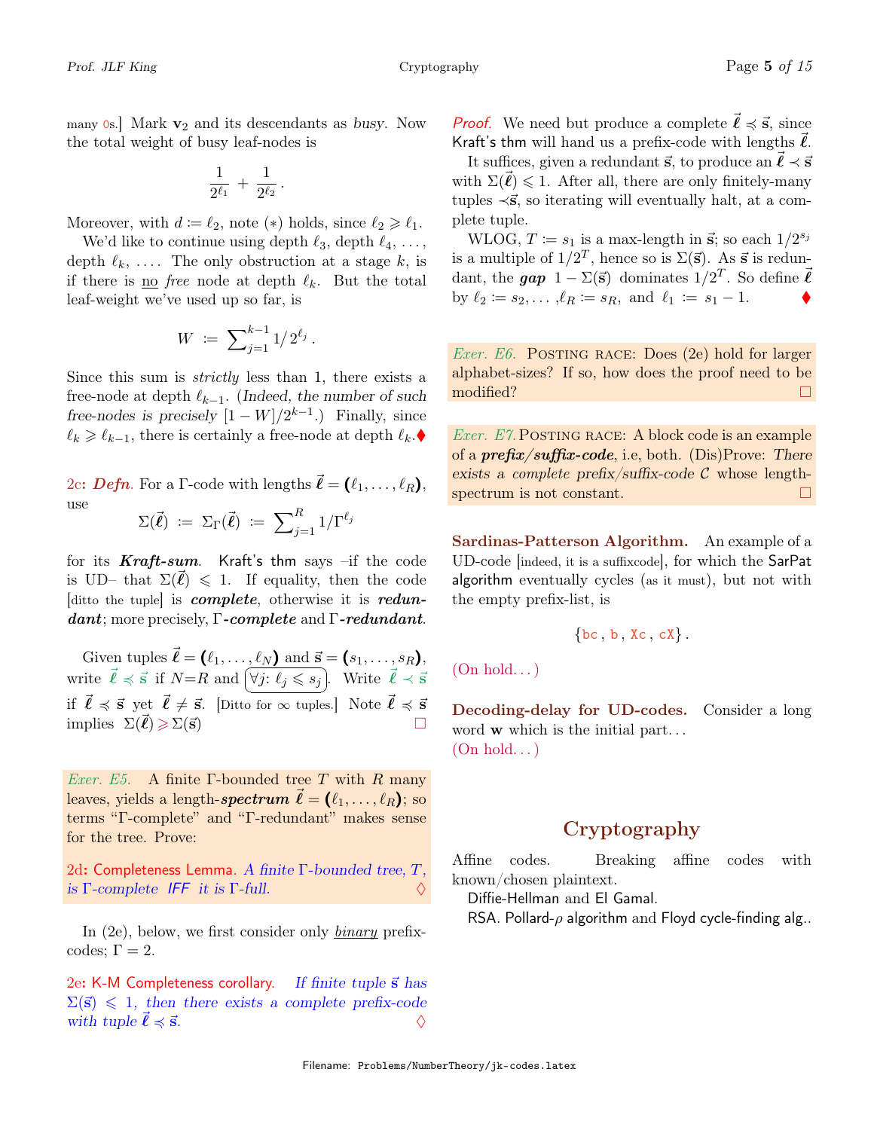many  $\delta$ s. Mark  $\mathbf{v}_2$  and its descendants as busy. Now the total weight of busy leaf-nodes is

$$
\frac{1}{2^{\ell_1}}\,+\,\frac{1}{2^{\ell_2}}
$$

.

Moreover, with  $d := \ell_2$ , note  $(*)$  holds, since  $\ell_2 \geq \ell_1$ .

We'd like to continue using depth  $\ell_3$ , depth  $\ell_4, \ldots$ , depth  $\ell_k, \ldots$ . The only obstruction at a stage k, is if there is <u>no</u> free node at depth  $\ell_k$ . But the total leaf-weight we've used up so far, is

$$
W\ :=\ \sum\nolimits_{j=1}^{k-1}1/\,2^{\ell_j}\,.
$$

Since this sum is strictly less than 1, there exists a free-node at depth  $\ell_{k-1}$ . (Indeed, the number of such free-nodes is precisely  $[1 - W]/2^{k-1}$ .) Finally, since  $\ell_k \geq \ell_{k-1}$ , there is certainly a free-node at depth  $\ell_k$ .  $\blacklozenge$ 

2c: Defn. For a Γ-code with lengths  $\vec{\ell} = (\ell_1, \ldots, \ell_R),$ use

$$
\Sigma(\vec{\ell}) \coloneqq \Sigma_{\Gamma}(\vec{\ell}) \coloneqq \sum_{j=1}^{R} 1/\Gamma^{\ell_j}
$$

for its  $Kraft-sum$ . Kraft's thm says  $-if$  the code is UD– that  $\Sigma(\vec{\ell}) \leq 1$ . If equality, then the code [ditto the tuple] is complete, otherwise it is redundant; more precisely,  $\Gamma$ -complete and  $\Gamma$ -redundant.

Given tuples  $\vec{\ell} = (\ell_1, \ldots, \ell_N)$  and  $\vec{s} = (s_1, \ldots, s_R)$ , write  $\vec{\ell} \preccurlyeq \vec{s}$  if  $N=R$  and  $[\forall j: \ell_j \leq s_j]$ . Write  $\vec{\ell} \prec \vec{s}$ if  $\vec{l} \preccurlyeq \vec{s}$  yet  $\vec{l} \neq \vec{s}$ . [Ditto for  $\infty$  tuples.] Note  $\vec{l} \preccurlyeq \vec{s}$ implies  $\Sigma(\ell) \geqslant \Sigma(\vec{s})$ 

*Exer. E5.* A finite  $\Gamma$ -bounded tree T with R many leaves, yields a length-spectrum  $\vec{\ell} = (\ell_1, \ldots, \ell_R);$  so terms "Γ-complete" and "Γ-redundant" makes sense for the tree. Prove:

2d: Completeness Lemma. A finite  $\Gamma$ -bounded tree,  $T$ , is  $\Gamma$ -complete IFF it is  $\Gamma$ -full.

In (2e), below, we first consider only *binary* prefixcodes;  $\Gamma = 2$ .

2e: K-M Completeness corollary. If finite tuple  $\vec{s}$  has  $\Sigma(\vec{s}) \leq 1$ , then there exists a complete prefix-code with tuple  $\ell \preccurlyeq \vec{s}$ .

**Proof.** We need but produce a complete  $\vec{\ell} \preccurlyeq \vec{s}$ , since Kraft's thm will hand us a prefix-code with lengths  $\vec{\ell}$ .

It suffices, given a redundant  $\vec{s}$ , to produce an  $\vec{l} \prec \vec{s}$ with  $\Sigma(\vec{\ell}) \leq 1$ . After all, there are only finitely-many tuples  $\prec$ **s**, so iterating will eventually halt, at a complete tuple.

WLOG,  $T \coloneqq s_1$  is a max-length in  $\vec{s}$ ; so each  $1/2^{s_j}$ is a multiple of  $1/2^T$ , hence so is  $\Sigma(\vec{s})$ . As  $\vec{s}$  is redundant, the  $gap \ 1 - \Sigma(\vec{s})$  dominates  $1/2^T$ . So define  $\vec{\ell}$ by  $\ell_2 := s_2, \ldots, \ell_R := s_R$ , and  $\ell_1 := s_1 - 1$ .

*Exer. E6.* POSTING RACE: Does  $(2e)$  hold for larger alphabet-sizes? If so, how does the proof need to be modified?  $\Box$ 

Exer. E7. POSTING RACE: A block code is an example of a  $prefix/suffix-code$ , i.e, both. (Dis)Prove: There exists a complete prefix/suffix-code  $\mathcal C$  whose lengthspectrum is not constant.  $\Box$ 

Sardinas-Patterson Algorithm. An example of a UD-code [indeed, it is a suffixcode], for which the SarPat algorithm eventually cycles (as it must), but not with the empty prefix-list, is

$$
\{bc, b, Xc, cX\}.
$$

 $(On hold...)$ 

Decoding-delay for UD-codes. Consider a long word **w** which is the initial part...  $(On hold...)$ 

## Cryptography

Affine codes. Breaking affine codes with known/chosen plaintext.

Diffie-Hellman and El Gamal.

RSA. Pollard- $\rho$  algorithm and Floyd cycle-finding alg..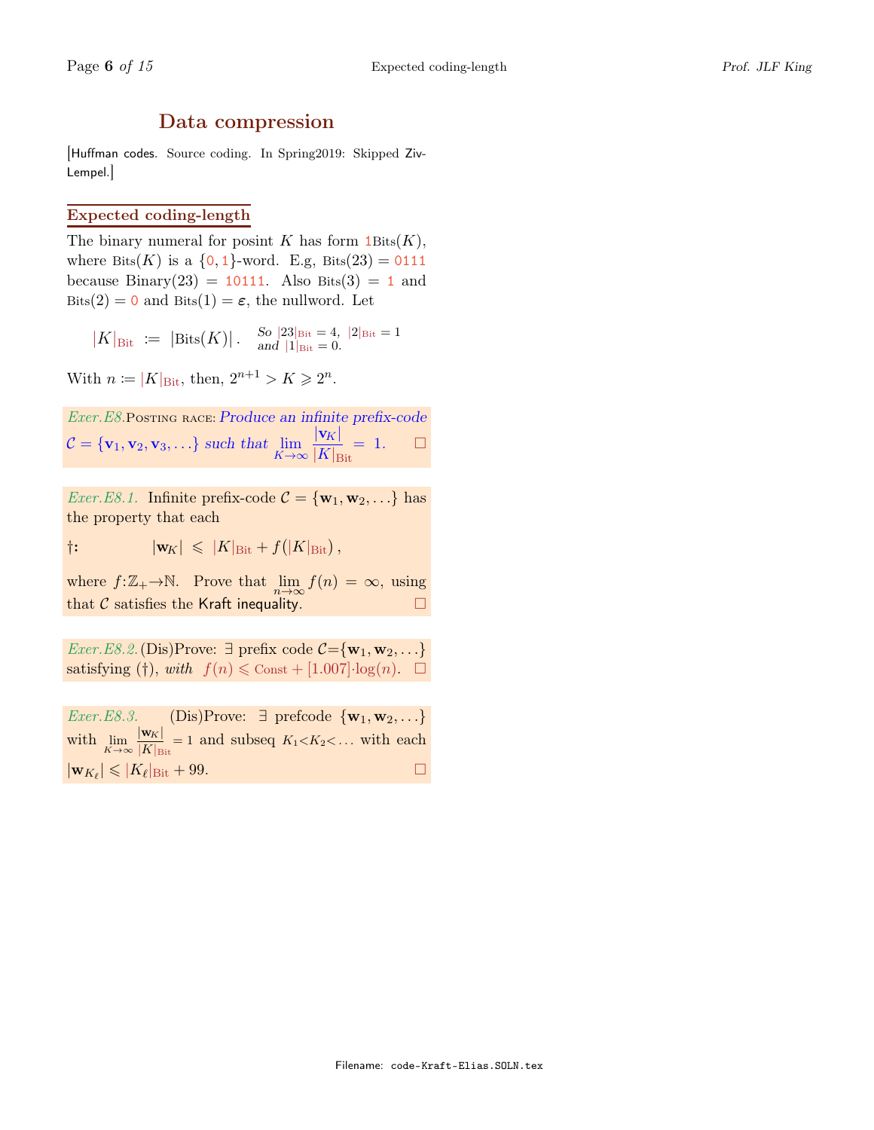## Data compression

[Huffman codes. Source coding. In Spring2019: Skipped Ziv-Lempel.]

### Expected coding-length

The binary numeral for posint K has form  $1\text{Bits}(K)$ , where Bits(K) is a  $\{0, 1\}$ -word. E.g, Bits(23) = 0111 because Binary(23) = 10111. Also Bits(3) = 1 and Bits(2) = 0 and Bits(1) =  $\varepsilon$ , the nullword. Let

 $|K|_{\text{Bit}} := |\text{Bits}(K)| \cdot \frac{S_0}{\text{and}} \frac{|23|_{\text{Bit}}}{1|_{\text{Dist}}} = 0}$ and  $|1|_{\text{Bit}} = 0$ .

With  $n \coloneqq |K|_{\text{Bit}}$ , then,  $2^{n+1} > K \geq 2^n$ .

Exer.E8.Posting RACE: Produce an infinite prefix-code  $C = {\mathbf{v}_1, \mathbf{v}_2, \mathbf{v}_3, \ldots}$  such that  $\lim_{K \to \infty}$  $|{\bf v}_K|$  $|K|_{\rm{Bit}}$  $= 1.$   $\Box$ 

*Exer.E8.1.* Infinite prefix-code  $\mathcal{C} = {\mathbf{w}_1, \mathbf{w}_2, \ldots}$  has the property that each

 $|\mathbf{w}_K| \leqslant |K|_{\text{Bit}} + f(|K|_{\text{Bit}}),$ 

where  $f: \mathbb{Z}_+ \to \mathbb{N}$ . Prove that  $\lim_{n \to \infty} f(n) = \infty$ , using that  $\mathcal C$  satisfies the Kraft inequality.

*Exer.E8.2.* (Dis)Prove:  $\exists$  prefix code  $C = \{w_1, w_2, ...\}$ satisfying (†), with  $f(n) \leq \text{Const} + [1.007] \cdot \log(n)$ .  $\Box$ 

Exer.E8.3. (Dis)Prove:  $\exists$  prefcode { $\mathbf{w}_1, \mathbf{w}_2, \ldots$ } with  $\lim_{K \to \infty} \frac{|\mathbf{w}_K|}{|K|_{\text{B}}}$  $\frac{|\mathbf{w}_K|}{|K|_{\text{Bit}}}$  = 1 and subseq  $K_1 < K_2 < \dots$  with each  $|\mathbf{w}_{K_{\ell}}| \leqslant |K_{\ell}|_{\text{Bit}} + 99.$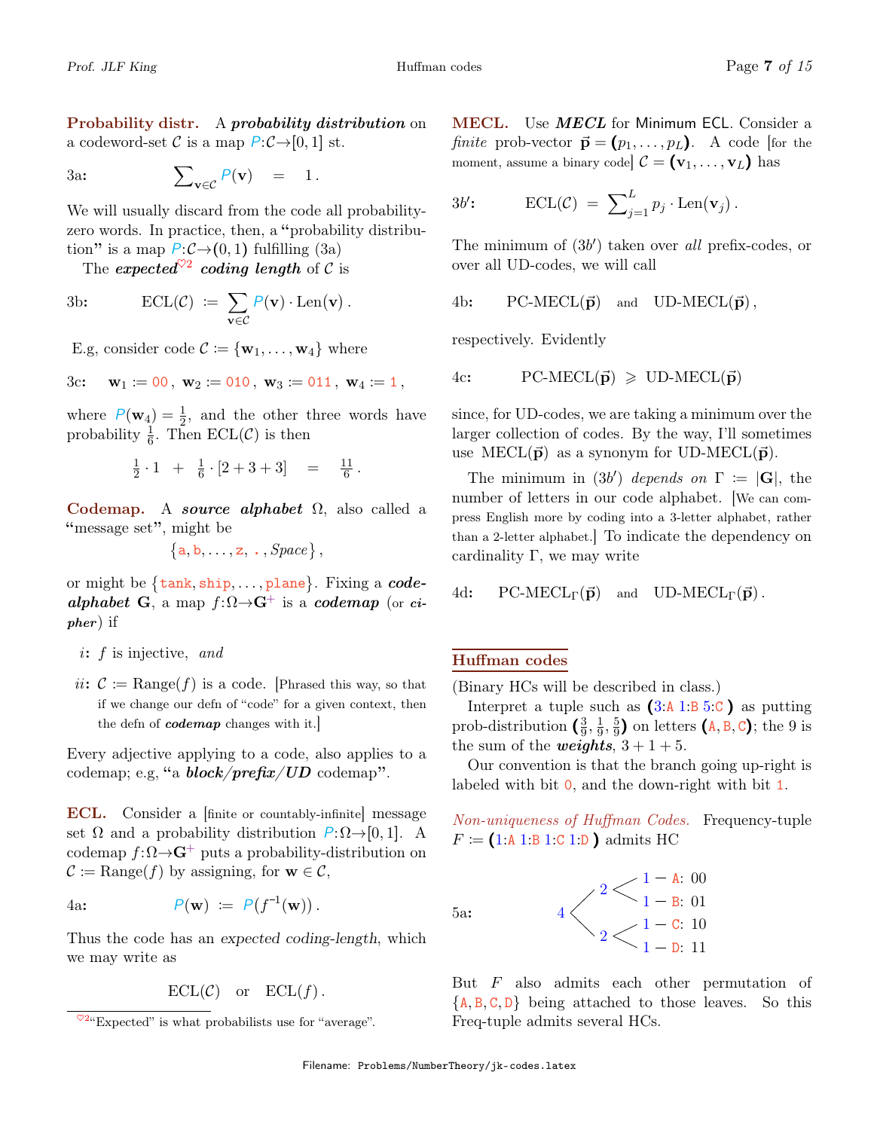**Probability distr.** A *probability distribution* on a codeword-set C is a map  $P:\mathcal{C}\rightarrow[0,1]$  st.

3a: 
$$
\sum_{\mathbf{v}\in\mathcal{C}} P(\mathbf{v}) = 1.
$$

We will usually discard from the code all probabilityzero words. In practice, then, a "probability distribution" is a map  $P:\mathcal{C}\rightarrow(0,1)$  fulfilling (3a)

The expected  $\sqrt{2}$  coding length of C is

3b: 
$$
\operatorname{ECL}(\mathcal{C}) \ := \ \sum_{\mathbf{v} \in \mathcal{C}} P(\mathbf{v}) \cdot \operatorname{Len}(\mathbf{v}).
$$

E.g, consider code  $\mathcal{C} \coloneqq \{ \mathbf{w}_1, \dots, \mathbf{w}_4 \}$  where

$$
3c: \quad \mathbf{w}_1 \coloneqq 00 \,, \; \mathbf{w}_2 \coloneqq 010 \,, \; \mathbf{w}_3 \coloneqq 011 \,, \; \mathbf{w}_4 \coloneqq 1 \,,
$$

where  $P(\mathbf{w}_4) = \frac{1}{2}$ , and the other three words have probability  $\frac{1}{6}$ . Then ECL(C) is then

$$
\frac{1}{2} \cdot 1 + \frac{1}{6} \cdot [2 + 3 + 3] = \frac{11}{6}.
$$

Codemap. A source alphabet  $\Omega$ , also called a "message set", might be

$$
\{a,b,\ldots,z,\ldots,\mathit{Space}\}\,,
$$

or might be  $\{\texttt{tank}, \texttt{ship}, \dots, \texttt{plane}\}$ . Fixing a  $code$ alphabet G, a map  $f:\Omega \rightarrow G^+$  is a codemap (or cipher) if

- $i: f$  is injective, and
- ii:  $C := \text{Range}(f)$  is a code. [Phrased this way, so that if we change our defn of "code" for a given context, then the defin of *codemap* changes with it.

Every adjective applying to a code, also applies to a codemap; e.g, "a  $block/prefix/UD$  codemap".

ECL. Consider a [finite or countably-infinite] message set  $\Omega$  and a probability distribution  $P:\Omega \rightarrow [0, 1]$ . A codemap  $f:\Omega \rightarrow G^+$  puts a probability-distribution on  $\mathcal{C} \coloneqq \text{Range}(f)$  by assigning, for  $\mathbf{w} \in \mathcal{C}$ ,

4a:  $P(\mathbf{w}) := P(f^{-1}(\mathbf{w}))$ .

Thus the code has an expected coding-length, which we may write as

 $\text{ECL}(\mathcal{C})$  or  $\text{ECL}(f)$ .

**MECL.** Use **MECL** for Minimum ECL. Consider a *finite* prob-vector  $\vec{\mathbf{p}} = (p_1, \ldots, p_L)$ . A code [for the moment, assume a binary code  $\mathcal{C} = (\mathbf{v}_1, \dots, \mathbf{v}_L)$  has

$$
3b': \qquad \mathrm{ECL}(\mathcal{C}) = \sum_{j=1}^{L} p_j \cdot \mathrm{Len}(\mathbf{v}_j).
$$

The minimum of  $(3b')$  taken over all prefix-codes, or over all UD-codes, we will call

4b: PC-MECL( $\vec{p}$ ) and UD-MECL( $\vec{p}$ ),

respectively. Evidently

4c: PC-MECL(
$$
\vec{p}
$$
)  $\geq$  UD-MECL( $\vec{p}$ )

since, for UD-codes, we are taking a minimum over the larger collection of codes. By the way, I'll sometimes use MECL( $\vec{p}$ ) as a synonym for UD-MECL( $\vec{p}$ ).

The minimum in (3b') depends on  $\Gamma := |\mathbf{G}|$ , the number of letters in our code alphabet. [We can compress English more by coding into a 3-letter alphabet, rather than a 2-letter alphabet.] To indicate the dependency on cardinality  $\Gamma$ , we may write

4d: PC-MECL<sub>Γ</sub>(
$$
\vec{p}
$$
) and UD-MECL<sub>Γ</sub>( $\vec{p}$ ).

### Huffman codes

(Binary HCs will be described in class.)

Interpret a tuple such as  $(3.41:B.5:C)$  as putting prob-distribution  $\left(\frac{3}{9}\right)$  $\frac{3}{9}, \frac{1}{9}$  $\frac{1}{9}, \frac{5}{9}$  $\frac{5}{9}$ ) on letters  $(A, B, C)$ ; the 9 is the sum of the *weights*,  $3 + 1 + 5$ .

Our convention is that the branch going up-right is labeled with bit  $\mathbf{0}$ , and the down-right with bit 1.

Non-uniqueness of Huffman Codes. Frequency-tuple  $F := (1:A1:B1:C1:D)$  admits HC



But F also admits each other permutation of  ${A, B, C, D}$  being attached to those leaves. So this Freq-tuple admits several HCs.

5a:

 $\sqrt[6]{2}$ "Expected" is what probabilists use for "average".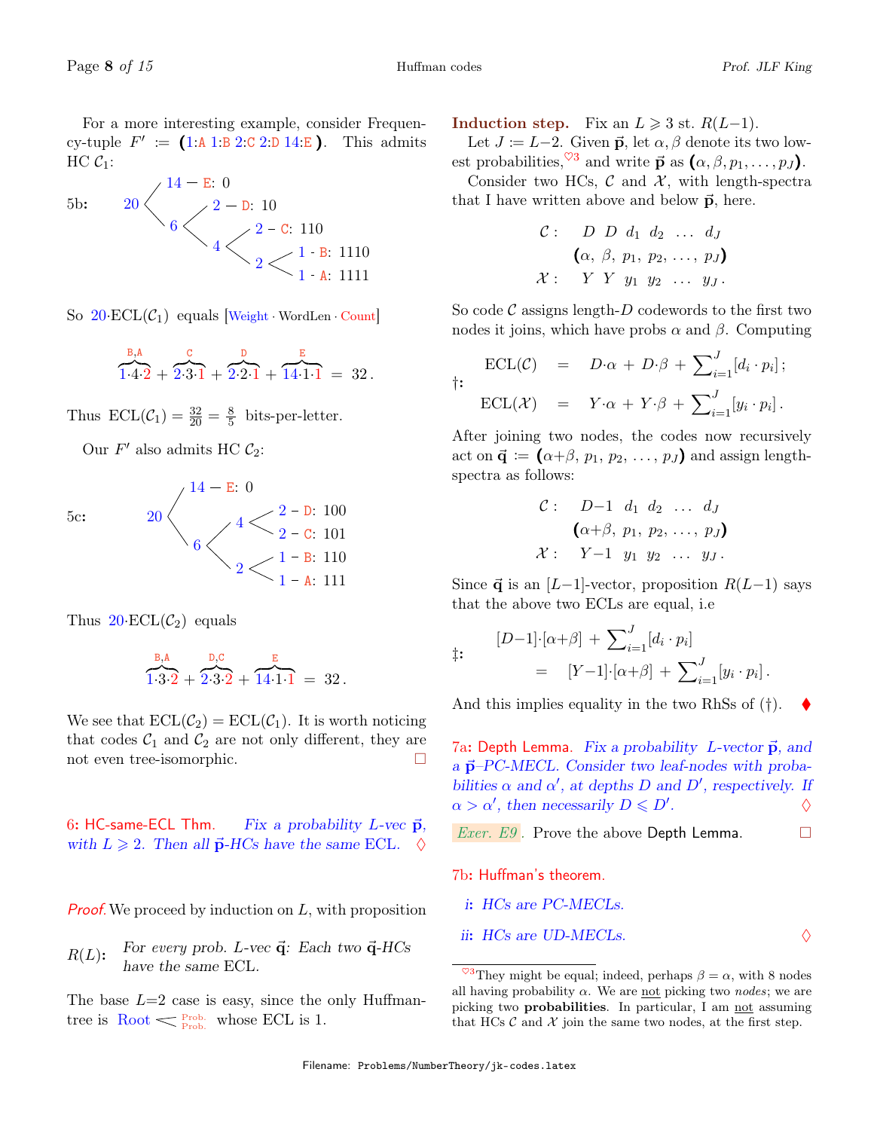For a more interesting example, consider Frequency-tuple  $F' := (1:A1:B2:C2:D14:E)$ . This admits  $HC C_1$ :



So  $20 \text{·}ECL(\mathcal{C}_1)$  equals Weight WordLen Count

$$
\overbrace{1 \cdot 4 \cdot 2}^{\text{B,A}} + \overbrace{2 \cdot 3 \cdot 1}^{\text{C}} + \overbrace{2 \cdot 2 \cdot 1}^{\text{D}} + \overbrace{14 \cdot 1 \cdot 1}^{\text{E}} = 32.
$$

Thus  $\text{ECL}(\mathcal{C}_1) = \frac{32}{20} = \frac{8}{5}$  $\frac{8}{5}$  bits-per-letter.

Our  $F'$  also admits HC  $C_2$ :



Thus  $20$ ·ECL $(\mathcal{C}_2)$  equals

$$
\overbrace{1 \cdot 3 \cdot 2}^{\text{B,A}} + \overbrace{2 \cdot 3 \cdot 2}^{\text{D,C}} + \overbrace{14 \cdot 1 \cdot 1}^{\text{E}} = 32.
$$

We see that  $\text{ECL}(\mathcal{C}_2) = \text{ECL}(\mathcal{C}_1)$ . It is worth noticing that codes  $C_1$  and  $C_2$  are not only different, they are not even tree-isomorphic.

6: HC-same-ECL Thm. Fix a probability L-vec  $\vec{p}$ , with  $L \geqslant 2$ . Then all  $\vec{p}$ -HCs have the same ECL.  $\diamond$ 

**Proof.** We proceed by induction on  $L$ , with proposition

For every prob. L-vec  $\vec{q}$ : Each two  $\vec{q}$ -HCs have the same ECL.  $R(L)$ :

The base  $L=2$  case is easy, since the only Huffmantree is  $\text{Root} \leq \frac{\text{Prob}}{\text{Prob}}$  whose ECL is 1.

**Induction step.** Fix an  $L \ge 3$  st.  $R(L-1)$ .

Let  $J \coloneqq L-2$ . Given  $\vec{p}$ , let  $\alpha, \beta$  denote its two lowest probabilities, <sup> $\heartsuit$ 3</sup> and write  $\vec{p}$  as  $(\alpha, \beta, p_1, \ldots, p_J)$ .

Consider two HCs,  $\mathcal C$  and  $\mathcal X$ , with length-spectra that I have written above and below  $\vec{p}$ , here.

$$
\begin{array}{ccccc}\n\mathcal{C} : & D & D & d_1 & d_2 & \dots & d_J \\
\hline\n\left(\alpha, \beta, p_1, p_2, \dots, p_J\right) \\
\mathcal{X} : & Y & Y & y_1 & y_2 & \dots & y_J.\n\end{array}
$$

So code  $\mathcal C$  assigns length- $D$  codewords to the first two nodes it joins, which have probs  $\alpha$  and  $\beta$ . Computing

$$
\begin{array}{rcl}\n\text{ECL}(\mathcal{C}) & = & D \cdot \alpha + D \cdot \beta + \sum_{i=1}^{J} [d_i \cdot p_i]; \\
\text{ECL}(\mathcal{X}) & = & Y \cdot \alpha + Y \cdot \beta + \sum_{i=1}^{J} [y_i \cdot p_i].\n\end{array}
$$

After joining two nodes, the codes now recursively act on  $\vec{\mathbf{q}} := (\alpha + \beta, p_1, p_2, \ldots, p_J)$  and assign lengthspectra as follows:

C: 
$$
D-1
$$
 d<sub>1</sub> d<sub>2</sub> ... d<sub>J</sub>  
\n( $\alpha+\beta, p_1, p_2, ..., p_J$ )  
\nX:  $Y-1$  y<sub>1</sub> y<sub>2</sub> ... y<sub>J</sub>.

Since  $\vec{q}$  is an [L−1]-vector, proposition  $R(L-1)$  says that the above two ECLs are equal, i.e

$$
\begin{aligned} \n\ddagger: \quad & [D-1] \cdot [\alpha + \beta] + \sum_{i=1}^{J} [d_i \cdot p_i] \\ \n&= [Y-1] \cdot [\alpha + \beta] + \sum_{i=1}^{J} [y_i \cdot p_i]. \n\end{aligned}
$$

And this implies equality in the two RhSs of  $(\dagger)$ .

7a: Depth Lemma. Fix a probability L-vector  $\vec{p}$ , and a  $\vec{p}$ –PC-MECL. Consider two leaf-nodes with probabilities  $\alpha$  and  $\alpha'$ , at depths D and D', respectively. If  $\alpha > \alpha'$ , then necessarily  $D \leq D'$ .  $\Diamond$ 

*Exer. E9*. Prove the above Depth Lemma.  $\Box$ 

7b: Huffman's theorem.

i: HCs are PC-MECLs.

ii: 
$$
HCs
$$
 are UD-MECLs.  $\Diamond$ 

<sup>&</sup>lt;sup> $\heartsuit$ 3</sup>They might be equal; indeed, perhaps  $\beta = \alpha$ , with 8 nodes all having probability  $\alpha$ . We are not picking two nodes; we are picking two probabilities. In particular, I am not assuming that HCs  $\mathcal C$  and  $\mathcal X$  join the same two nodes, at the first step.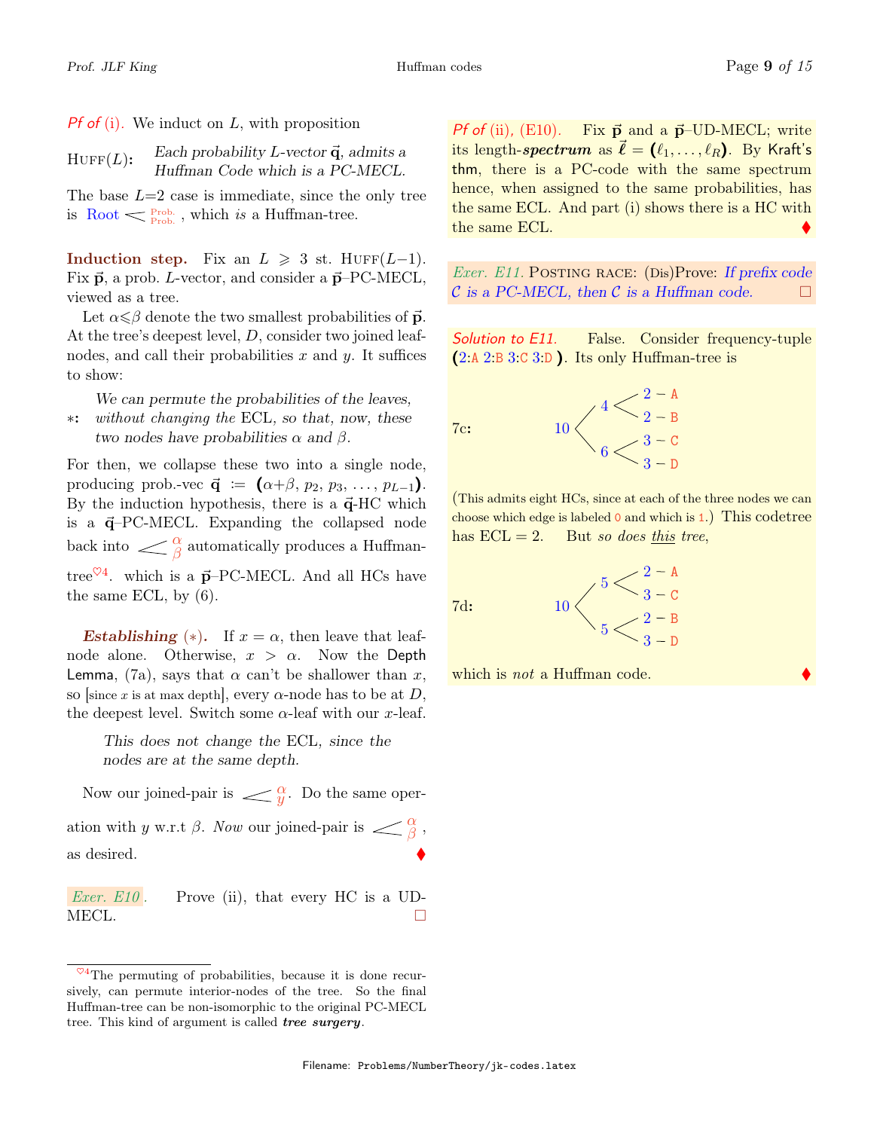**Pf of (i).** We induct on  $L$ , with proposition

Each probability L-vector  $\vec{q}$ , admits a Huffman Code which is a PC-MECL.  $HUFF(L):$ 

The base  $L=2$  case is immediate, since the only tree is Root  $\leq \frac{Prob}{Prob}$ , which is a Huffman-tree.

Induction step. Fix an  $L \geq 3$  st. HUFF(L-1). Fix  $\vec{p}$ , a prob. L-vector, and consider a  $\vec{p}$ –PC-MECL, viewed as a tree.

Let  $\alpha \leq \beta$  denote the two smallest probabilities of  $\vec{p}$ . At the tree's deepest level, D, consider two joined leafnodes, and call their probabilities x and y. It suffices to show:

We can permute the probabilities of the leaves, without changing the ECL, so that, now, these two nodes have probabilities  $\alpha$  and  $\beta$ . ∗:

For then, we collapse these two into a single node, producing prob.-vec  $\vec{\mathbf{q}} := (\alpha+\beta, p_2, p_3, \ldots, p_{L-1}).$ By the induction hypothesis, there is a  $\vec{q}$ -HC which is a  $\vec{q}$ -PC-MECL. Expanding the collapsed node back into  $\langle \rangle_{\beta}^{\alpha}$  automatically produces a Huffmantree<sup> $\heartsuit$ 4</sup>. which is a  $\vec{p}$ -PC-MECL. And all HCs have the same ECL, by (6).

**Establishing** (\*). If  $x = \alpha$ , then leave that leafnode alone. Otherwise,  $x > \alpha$ . Now the Depth Lemma, (7a), says that  $\alpha$  can't be shallower than x, so [since x is at max depth], every  $\alpha$ -node has to be at D, the deepest level. Switch some  $\alpha$ -leaf with our x-leaf.

This does not change the ECL, since the nodes are at the same depth.

Now our joined-pair is  $\angle \mathcal{Q}$ . Do the same operation with y w.r.t  $\beta$ . Now our joined-pair is  $\langle \frac{\alpha}{\beta}, \frac{\alpha}{\beta}, \frac{\alpha}{\beta}, \frac{\alpha}{\beta}, \frac{\alpha}{\beta}, \frac{\alpha}{\beta} \rangle$ as desired.

Exer. E10. Prove (ii), that every HC is a UD-MECL.  $\Box$ 

*Pf of* (ii), (E10). Fix  $\vec{p}$  and a  $\vec{p}$ –UD-MECL; write its length-spectrum as  $\vec{\ell} = (\ell_1, \ldots, \ell_R)$ . By Kraft's thm, there is a PC-code with the same spectrum hence, when assigned to the same probabilities, has the same ECL. And part (i) shows there is a HC with the same ECL.

*Exer.* E11. POSTING RACE:  $(Dis)$ Prove: If prefix code  $\mathcal C$  is a PC-MECL, then  $\mathcal C$  is a Huffman code.  $\Box$ 

Solution to E11. False. Consider frequency-tuple (2:A 2:B 3:C 3:D ). Its only Huffman-tree is

> $4<\frac{2-A}{2}$  $2 - B$

> $\frac{3-c}{2}$  $3 - D$

7c:



(This admits eight HCs, since at each of the three nodes we can choose which edge is labeled 0 and which is 1.) This codetree has  $ECL = 2$ . But so does this tree,

7d:



which is *not* a Huffman code.

 $^{\heartsuit 4}$ The permuting of probabilities, because it is done recursively, can permute interior-nodes of the tree. So the final Huffman-tree can be non-isomorphic to the original PC-MECL tree. This kind of argument is called *tree surgery*.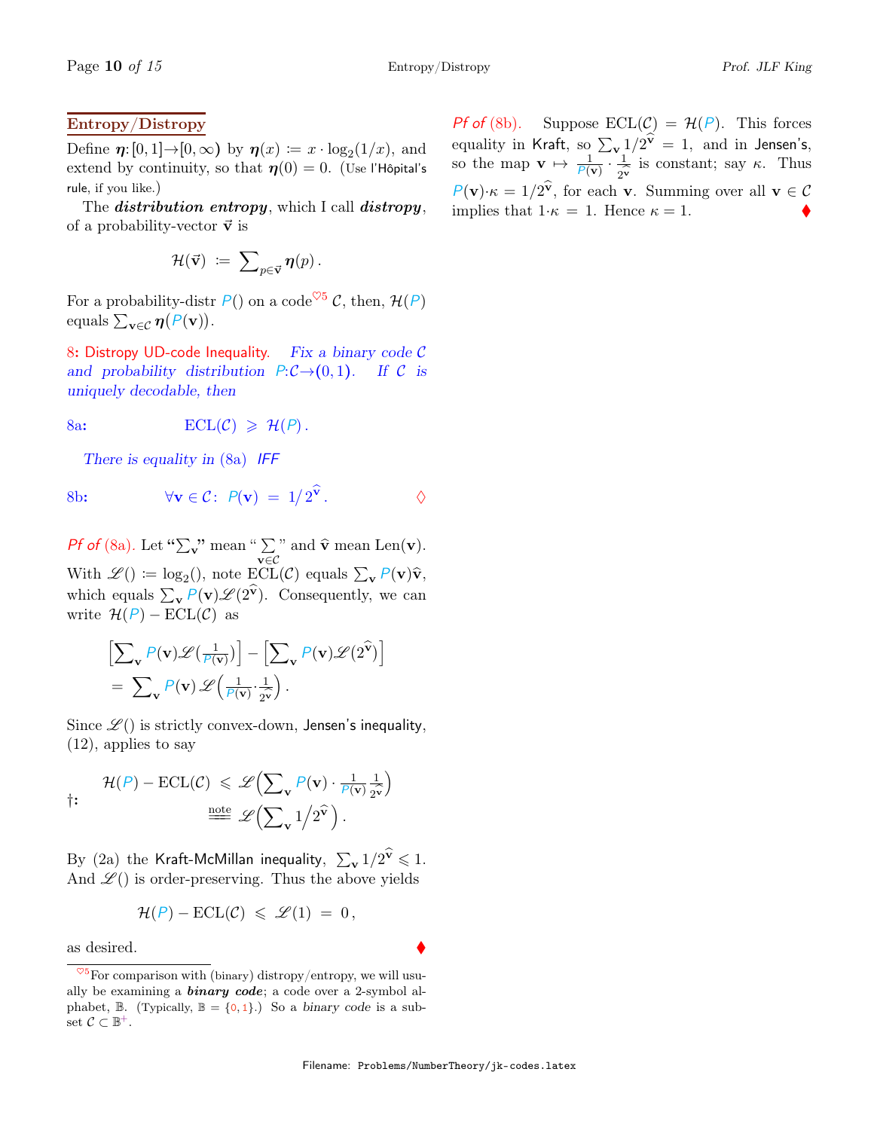### Entropy/Distropy

Define  $\eta: [0,1] \rightarrow [0,\infty)$  by  $\eta(x) := x \cdot \log_2(1/x)$ , and extend by continuity, so that  $\eta(0) = 0$ . (Use l'Hôpital's rule, if you like.)

The *distribution entropy*, which I call *distropy*, of a probability-vector  $\vec{v}$  is

$$
\mathcal{H}(\vec{\mathbf{v}}) \; := \; \sum\nolimits_{p \in \vec{\mathbf{v}}} \eta(p) \, .
$$

For a probability-distr  $P()$  on a code<sup> $\heartsuit$ 5</sup> C, then,  $\mathcal{H}(P)$ equals  $\sum_{\mathbf{v}\in\mathcal{C}}\boldsymbol{\eta}(P(\mathbf{v}))$ .

8: Distropy UD-code Inequality. Fix a binary code  $C$ and probability distribution  $P:\mathcal{C}\rightarrow(0,1)$ . If  $\mathcal C$  is uniquely decodable, then

8a:  $\text{ECL}(\mathcal{C}) \geq \mathcal{H}(P)$ .

There is equality in (8a) IFF

8b: 
$$
\forall \mathbf{v} \in C: P(\mathbf{v}) = 1/2^{\hat{\mathbf{v}}}. \qquad \diamond
$$

*Pf of* (8a). Let " $\sum_{\mathbf{v}}$ " mean " $\sum$  $\sum_{\mathbf{v}\in\mathcal{C}}$ " and  $\hat{\mathbf{v}}$  mean Len(**v**). With  $\mathscr{L}() \coloneqq \log_2($ , note  $\text{ECL}(\mathcal{C})$  equals  $\sum_{\mathbf{v}} P(\mathbf{v}) \hat{\mathbf{v}},$ which equals  $\sum_{\mathbf{v}} P(\mathbf{v}) \mathscr{L}(2^{\mathbf{v}})$ . Consequently, we can write  $\mathcal{H}(P) - \text{ECL}(\mathcal{C})$  as

$$
\left[\sum_{\mathbf{v}} P(\mathbf{v}) \mathscr{L}(\frac{1}{P(\mathbf{v})})\right] - \left[\sum_{\mathbf{v}} P(\mathbf{v}) \mathscr{L}(2^{\widehat{\mathbf{v}}})\right]
$$
  
= 
$$
\sum_{\mathbf{v}} P(\mathbf{v}) \mathscr{L}(\frac{1}{P(\mathbf{v})} \cdot \frac{1}{2^{\widehat{\mathbf{v}}}}).
$$

Since  $\mathscr{L}(\cdot)$  is strictly convex-down, Jensen's inequality, (12), applies to say

$$
\text{#}(P) - \text{ECL}(\mathcal{C}) \leq \mathscr{L}\left(\sum_{\mathbf{v}} P(\mathbf{v}) \cdot \frac{1}{P(\mathbf{v})} \frac{1}{2^{\mathbf{v}}}\right)
$$
\n
$$
\text{#} \quad \mathscr{L}\left(\sum_{\mathbf{v}} 1/2^{\widehat{\mathbf{v}}}\right).
$$

By (2a) the Kraft-McMillan inequality,  $\sum_{\mathbf{v}} 1/2^{\widehat{\mathbf{v}}} \leqslant 1$ . And  $\mathscr{L}$  () is order-preserving. Thus the above yields

$$
\mathcal{H}(P) - \mathrm{ECL}(\mathcal{C}) \leqslant \mathcal{L}(1) = 0,
$$

as desired.

*Pf* of (8b). Suppose  $\text{ECL}(\mathcal{C}) = \mathcal{H}(P)$ . This forces equality in Kraft, so  $\sum_{\mathbf{v}} 1/2^{\widehat{\mathbf{v}}} = 1$ , and in Jensen's, so the map  $\mathbf{v} \mapsto \frac{1}{\rho(\mathbf{v})} \cdot \frac{1}{\gamma \mathbf{v}}$  is constant; say  $\kappa$ . Thus  $P(\mathbf{v}) \cdot \kappa = 1/2^{\widehat{\mathbf{v}}}$ , for each **v**. Summing over all  $\mathbf{v} \in \mathcal{C}$ implies that  $1 \cdot \kappa = 1$ . Hence  $\kappa = 1$ .

 $\frac{\sqrt{5}}{5}$  For comparison with (binary) distropy/entropy, we will usually be examining a **binary code**; a code over a 2-symbol alphabet,  $\mathbb B$ . (Typically,  $\mathbb B = \{0, 1\}$ .) So a binary code is a subset  $C \subset \mathbb{B}^+$ .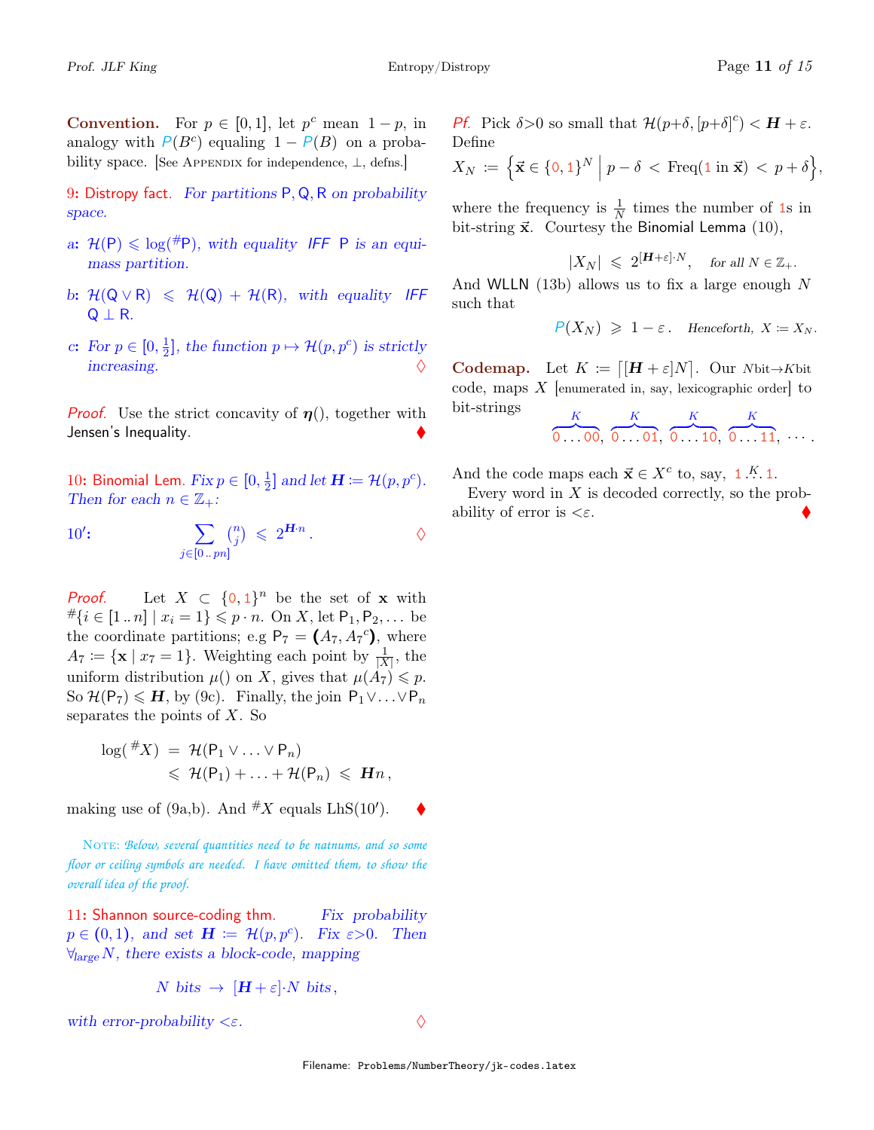**Convention.** For  $p \in [0,1]$ , let  $p^c$  mean  $1-p$ , in analogy with  $P(B^c)$  equaling  $1 - P(B)$  on a probability space. [See Appendix for independence,  $\perp$ , defns.]

9: Distropy fact. For partitions  $P, Q, R$  on probability space.

- a:  $\mathcal{H}(\mathsf{P}) \leq \log(\mathsf{P})$ , with equality IFF P is an equimass partition.
- b:  $\mathcal{H}(\mathsf{Q} \vee \mathsf{R}) \leq \mathcal{H}(\mathsf{Q}) + \mathcal{H}(\mathsf{R})$ , with equality IFF  $Q \perp R$ .
- c: For  $p \in [0, \frac{1}{2}]$  $\frac{1}{2}$ , the function  $p \mapsto \mathcal{H}(p, p^c)$  is strictly increasing.  $\Diamond$

**Proof.** Use the strict concavity of  $\eta$ ), together with Jensen's Inequality.

10: Binomial Lem.  $Fix p \in [0, \frac{1}{2}]$  $\frac{1}{2}$ ] and let  $\mathbf{H} \coloneqq \mathcal{H}(p, p^c)$ . Then for each  $n \in \mathbb{Z}_+$ :

 $10$ :

10': 
$$
\sum_{j \in [0..pn]} \binom{n}{j} \leqslant 2^{\mathbf{H} \cdot n} .
$$

**Proof.** Let  $X \subset \{0,1\}^n$  be the set of **x** with  $\#\{i \in [1..n] \mid x_i = 1\} \leqslant p \cdot n$ . On X, let  $P_1, P_2, \ldots$  be the coordinate partitions; e.g  $P_7 = (A_7, A_7^c)$ , where  $A_7 \coloneqq {\mathbf{x} \mid x_7 = 1}.$  Weighting each point by  $\frac{1}{|X|}$ , the uniform distribution  $\mu$ () on X, gives that  $\mu(A_7) \leq p$ . So  $\mathcal{H}(\mathsf{P}_7) \leqslant H$ , by (9c). Finally, the join  $\mathsf{P}_1 \vee \ldots \vee \mathsf{P}_n$ separates the points of  $X$ . So

$$
\log({}^{\#}X) = \mathcal{H}(\mathsf{P}_1 \vee \ldots \vee \mathsf{P}_n)
$$
  
\$\leqslant \mathcal{H}(\mathsf{P}\_1) + \ldots + \mathcal{H}(\mathsf{P}\_n) \leqslant \mathbf{H}n\$,

making use of (9a,b). And  $\#X$  equals LhS(10').  $\blacklozenge$ 

NOTE: *Below, several quantities need to be natnums, and so some floor or ceiling symbols are needed. I have omitted them, to show the overall idea of the proof.*

11: Shannon source-coding thm.  $Fix\ probability$  $p \in (0,1)$ , and set  $\mathbf{H} := \mathcal{H}(p, p^c)$ . Fix  $\varepsilon > 0$ . Then  $\forall_{\text{large}} N$ , there exists a block-code, mapping

$$
N \text{ bits } \rightarrow \left[ H + \varepsilon \right] \cdot N \text{ bits },
$$

with error-probability  $\langle \varepsilon$ .

Pf. Pick  $\delta > 0$  so small that  $\mathcal{H}(p+\delta, [p+\delta]^c) < H + \varepsilon$ . Define

$$
X_N \coloneqq \left\{ \vec{\mathbf{x}} \in \{0,1\}^N \; \middle| \; p - \delta < \text{Freq}(\mathbf{1} \text{ in } \vec{\mathbf{x}}) < p + \delta \right\},
$$

where the frequency is  $\frac{1}{N}$  times the number of 1s in bit-string  $\vec{x}$ . Courtesy the Binomial Lemma (10),

$$
|X_N| \leq 2^{[\mathbf{H} + \varepsilon] \cdot N}, \quad \text{for all } N \in \mathbb{Z}_+.
$$

And WLLN  $(13b)$  allows us to fix a large enough N such that

 $P(X_N) \geq 1-\varepsilon$ . Henceforth,  $X = X_N$ .

**Codemap.** Let  $K \coloneqq [H + \varepsilon]N$ . Our Nbit→Kbit code, maps  $X$  [enumerated in, say, lexicographic order] to bit-strings K K K K

 $\overline{0}$  . 00,  $\overline{0}$  . 01,  $\overline{0}$   $\overline{10}$ ,  $\overline{0 \ldots 11}, \ldots$ .

And the code maps each  $\vec{x} \in X^c$  to, say, 1.<sup>K</sup>.1.

Every word in  $X$  is decoded correctly, so the probability of error is  $\langle \varepsilon$ .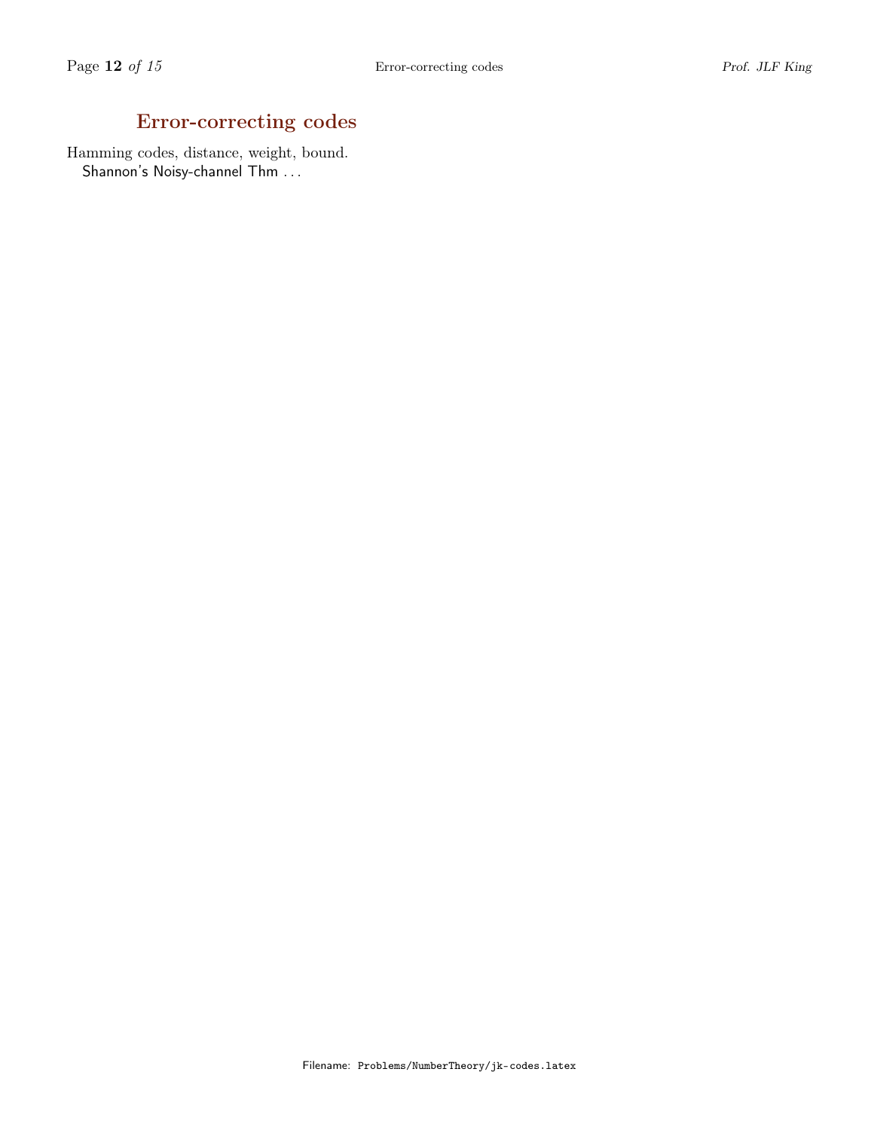# Error-correcting codes

Hamming codes, distance, weight, bound. Shannon's Noisy-channel Thm . . .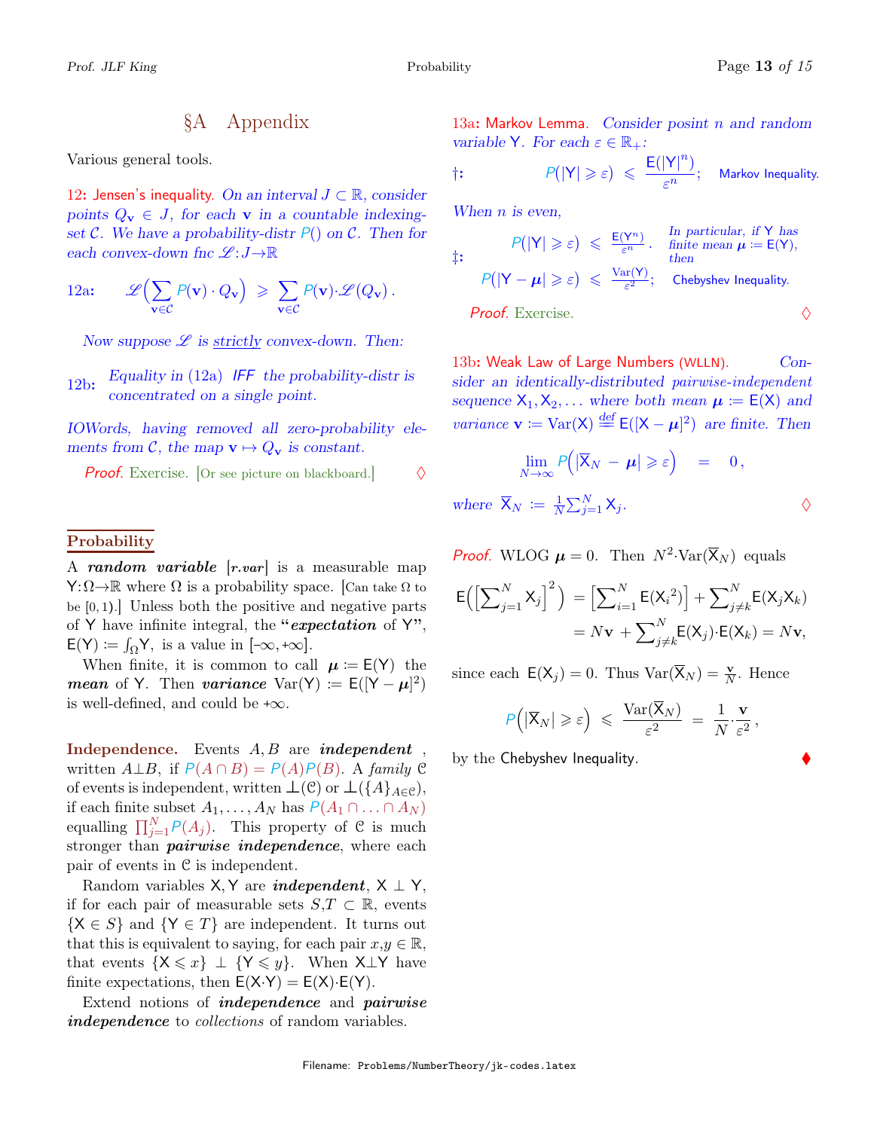## §A Appendix

Various general tools.

12: Jensen's inequality. On an interval  $J \subset \mathbb{R}$ , consider points  $Q_v \in J$ , for each v in a countable indexingset C. We have a probability-distr  $P()$  on C. Then for each convex-down fnc  $\mathscr{L}:J\rightarrow\mathbb{R}$ 

12a: 
$$
\mathscr{L}\left(\sum_{\mathbf{v}\in\mathcal{C}} P(\mathbf{v}) \cdot Q_{\mathbf{v}}\right) \geqslant \sum_{\mathbf{v}\in\mathcal{C}} P(\mathbf{v}) \cdot \mathscr{L}\left(Q_{\mathbf{v}}\right).
$$

Now suppose  $\mathscr L$  is strictly convex-down. Then:

Equality in  $(12a)$  IFF the probability-distr is 12b:  $\frac{Equating \, m}{12a}$  is the procentrated on a single point.

IOWords, having removed all zero-probability elements from C, the map  $\mathbf{v} \mapsto Q_{\mathbf{v}}$  is constant.

**Proof.** Exercise. [Or see picture on blackboard.]  $\Diamond$ 

#### **Probability**

A random variable  $[r-var]$  is a measurable map  $\mathsf{Y}:\Omega\to\mathbb{R}$  where  $\Omega$  is a probability space. [Can take  $\Omega$  to be  $[0, 1)$ . Unless both the positive and negative parts of Y have infinite integral, the "expectation of  $Y$ ",  $E(Y) := \int_{\Omega} Y$ , is a value in  $[-\infty, +\infty]$ .

When finite, it is common to call  $\mu := E(Y)$  the mean of Y. Then variance Var(Y) :=  $E([Y - \mu]^2)$ is well-defined, and could be  $+\infty$ .

Independence. Events  $A, B$  are *independent*, written  $A \perp B$ , if  $P(A \cap B) = P(A)P(B)$ . A family C of events is independent, written  $\bot(\mathcal{C})$  or  $\bot(\{A\}_{A\in\mathcal{C}})$ , if each finite subset  $A_1, \ldots, A_N$  has  $P(A_1 \cap \ldots \cap A_N)$ equalling  $\prod_{j=1}^{N} P(A_j)$ . This property of C is much stronger than *pairwise independence*, where each pair of events in C is independent.

Random variables X, Y are *independent*,  $X \perp Y$ , if for each pair of measurable sets  $S,T \subset \mathbb{R}$ , events  ${X \in S}$  and  ${Y \in T}$  are independent. It turns out that this is equivalent to saying, for each pair  $x,y \in \mathbb{R}$ , that events  $\{X \leq x\} \perp \{Y \leq y\}$ . When  $X \perp Y$  have finite expectations, then  $E(X \cdot Y) = E(X) \cdot E(Y)$ .

Extend notions of independence and pairwise independence to *collections* of random variables.

13a: Markov Lemma. Consider posint  $n$  and random variable Y. For each  $\varepsilon \in \mathbb{R}_+$ :

$$
\dagger: \qquad \qquad \mathsf{P}(|\mathsf{Y}| \geqslant \varepsilon) \;\leqslant\; \frac{\mathsf{E}(|\mathsf{Y}|^n)}{\varepsilon^n}; \quad \text{Markov Inequality.}
$$

When  $n$  is even,

$$
\mathcal{P}(|Y| \geqslant \varepsilon) \leqslant \frac{\mathsf{E}(Y^n)}{\varepsilon^n} \cdot \text{ finite mean } \mu := \mathsf{E}(Y),
$$
\n
$$
\mathcal{P}(|Y - \mu| \geqslant \varepsilon) \leqslant \frac{\text{Var}(Y)}{\varepsilon^2}; \quad \text{Chebyshev Inequality.}
$$
\n*Proof.* Exercise.

13b: Weak Law of Large Numbers (WLLN). Consider an identically-distributed pairwise-independent sequence  $X_1, X_2, \ldots$  where both mean  $\mu := E(X)$  and *variance*  $\mathbf{v} := \text{Var}(\mathsf{X}) \stackrel{\text{def}}{=} \mathsf{E}(|\mathsf{X} - \boldsymbol{\mu}|^2)$  are finite. Then

$$
\lim_{N\to\infty}P(|\overline{X}_N - \boldsymbol{\mu}| \geqslant \varepsilon) = 0,
$$

where  $\overline{X}_N := \frac{1}{N}$  $\frac{1}{N} \sum_{j=1}^{N} \mathsf{X}_{j}$ .

## **Proof.** WLOG  $\mu = 0$ . Then  $N^2$ -Var( $\overline{X}_N$ ) equals

$$
\mathsf{E}\left(\left[\sum_{j=1}^N \mathsf{X}_j\right]^2\right) = \left[\sum_{i=1}^N \mathsf{E}(\mathsf{X}_i^2)\right] + \sum_{j \neq k}^N \mathsf{E}(\mathsf{X}_j \mathsf{X}_k)
$$

$$
= N\mathbf{v} + \sum_{j \neq k}^N \mathsf{E}(\mathsf{X}_j) \cdot \mathsf{E}(\mathsf{X}_k) = N\mathbf{v},
$$

since each  $E(X_j) = 0$ . Thus  $Var(\overline{X}_N) = \frac{v}{N}$ . Hence

$$
P(|\overline{X}_N| \geqslant \varepsilon) \leqslant \frac{\text{Var}(\overline{X}_N)}{\varepsilon^2} = \frac{1}{N} \cdot \frac{\mathbf{v}}{\varepsilon^2},
$$

by the Chebyshev Inequality.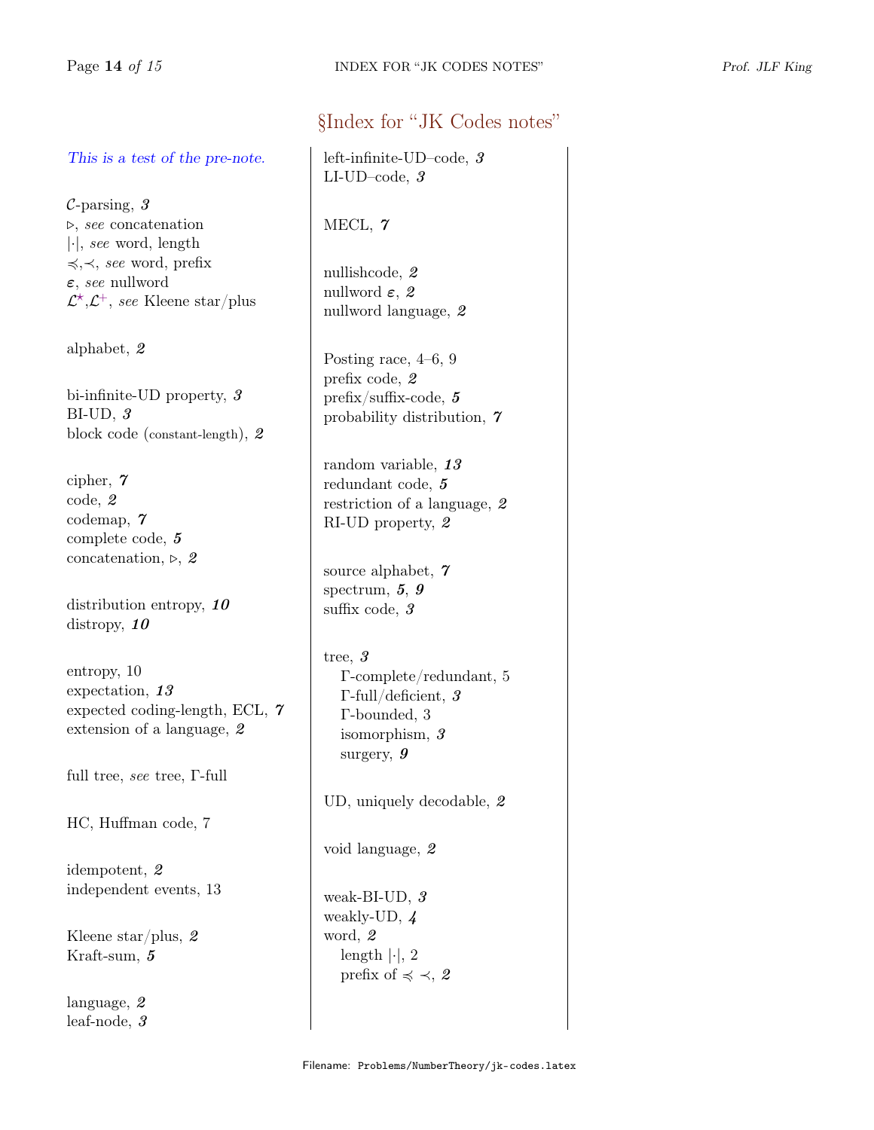# This is a test of the pre-note.

 $C$ -parsing,  $3$  $\triangleright$ , see concatenation |·|, see word, length 4,≺, see word, prefix ε, see nullword  $\mathcal{L}^{\star}, \mathcal{L}^{+}$ , see Kleene star/plus

alphabet, 2

bi-infinite-UD property, 3 BI-UD, 3 block code (constant-length), 2

cipher, 7 code, 2 codemap, 7 complete code, 5 concatenation,  $\triangleright$ , 2

distribution entropy, 10 distropy,  $10$ 

entropy, 10 expectation, 13 expected coding-length, ECL, 7 extension of a language, 2

full tree, see tree, Γ-full

HC, Huffman code, 7

idempotent, 2 independent events, 13

Kleene star/plus, 2 Kraft-sum, 5

language, 2 leaf-node, 3

# §Index for "JK Codes notes"

left-infinite-UD–code, 3 LI-UD–code, 3

MECL, 7

nullishcode, 2 nullword  $\varepsilon$ , 2 nullword language, 2

Posting race, 4–6, 9 prefix code, 2 prefix/suffix-code, 5 probability distribution, 7

random variable, 13 redundant code, 5 restriction of a language, 2 RI-UD property, 2

source alphabet, 7 spectrum, 5, 9 suffix code, 3

tree, 3 Γ-complete/redundant, 5 Γ-full/deficient, 3 Γ-bounded, 3 isomorphism, 3 surgery, 9

UD, uniquely decodable, 2

void language, 2

weak-BI-UD, 3 weakly-UD, 4 word, 2 length  $|\cdot|$ , 2 prefix of  $\preccurlyeq \prec$ , 2